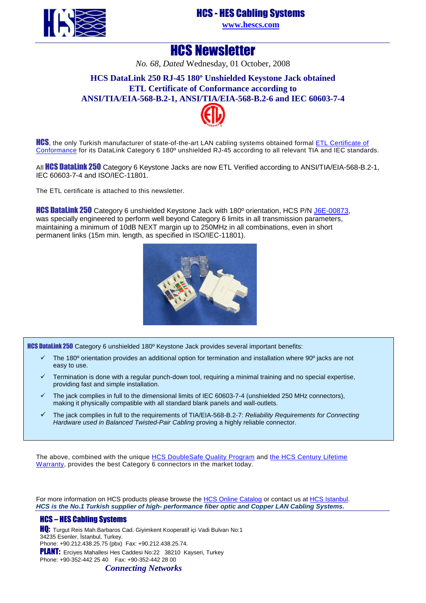HCS - HES Cabling Systems



## **[www.hescs.com](http://www.hescs.com/)**

## HCS Newsletter

*No. 68, Dated* Wednesday, 01 October, 2008

## **HCS DataLink 250 RJ-45 180º Unshielded Keystone Jack obtained ETL Certificate of Conformance according to ANSI/TIA/EIA-568-B.2-1, ANSI[/TIA/E](http://www.intertek-etlsemko.com/portal/page/cust_portal/ITK_PGR/SELECT_YOUR_IND_PG/CABLING_WIRING_PROD_PG/CABLING_CUSTOMERS_PG/Participants_Certificate_Pages/HCS)IA-568-B.2-6 and IEC 60603-7-4**



**HCS**, the only Turkish manufacturer of state-of-the-art LAN cabling systems obtained form[al ETL Certificate o](http://www.intertek-etlsemko.com/portal/page/cust_portal/ITK_PGR/SELECT_YOUR_IND_PG/CABLING_WIRING_PROD_PG/CABLING_CUSTOMERS_PG/Participants_Certificate_Pages/HCS/HCS_PDF_Certificates/HCS_TIA6_Unsheilded_RJ45_Jack_8P8C_3037949-001c_J6E-00873.pdf)f Conformance for its DataLink Category 6 180º unshielded RJ-45 according to all relevant TIA and IEC standards.

All HCS DataLink 250 Category 6 Keystone Jacks are now ETL Verified according to ANSI/TIA/EIA-568-B.2-1, IEC 60603-7-4 and ISO/IEC-11801.

The ETL certificate is attached to this newsletter.

HCS DataLink 250 Category 6 unshielded Keystone Jack with 180º orientation, HCS P/N [J6E-00873,](http://www.hescs.com/katalogen/?dosya=110.htm)  was specially engineered to perform well beyond Category 6 limits in all transmission parameters, maintaining a minimum of 10dB NEXT margin up to 250MHz in all combinations, even in short permanent links (15m min. length, as specified in ISO/IEC-11801).



HCS DataLink 250 Category 6 unshielded 180º Keystone Jack provides several important benefits:

- The 180º orientation provides an additional option for termination and installation where 90º jacks are not easy to use.
- Termination is done with a regular punch-down tool, requiring a minimal training and no special expertise, providing fast and simple installation.
- The jack complies in full to the dimensional limits of IEC 60603-7-4 (unshielded 250 MHz connectors), making it physically compatible with all standard blank panels and wall-outlets.
- The jack complies in full to the requirements of TIA/EIA-568-B.2-7: Reliability Requirements for Connecting Hardware used in Balanced Twisted-Pair Cabling proving a highly reliable connector.

The above, combined with the unique [HCS DoubleSafe Quality Program and the HCS Century Lifetime](http://www.hescs.com/eng/?s=quality.htm) Warranty, provides the best Category 6 connectors in the market today.

For more information on HCS products please browse the [HCS Online Catalog or contact us at](http://hescs.com/katalogen/) [HCS Istanbul.](http://hescs.com/eng/?s=contact.php) **HCS is the No.1 Turkish supplier of high- performance fiber optic and Copper LAN Cabling Systems.** 

### HCS – HES Cabling Systems

**HQ:** Turgut Reis Mah.Barbaros Cad. Giyimkent Kooperatif içi Vadi Bulvarı No:1 34235 Esenler, İstanbul, Turkey. Phone: +90.212.438.25.75 (pbx) Fax: +90.212.438.25.74. PLANT: Erciyes Mahallesi Hes Caddesi No:22 38210 Kayseri, Turkey Phone: +90-352-442 25 40 Fax: +90-352-442 28 00

*Connecting Networks*